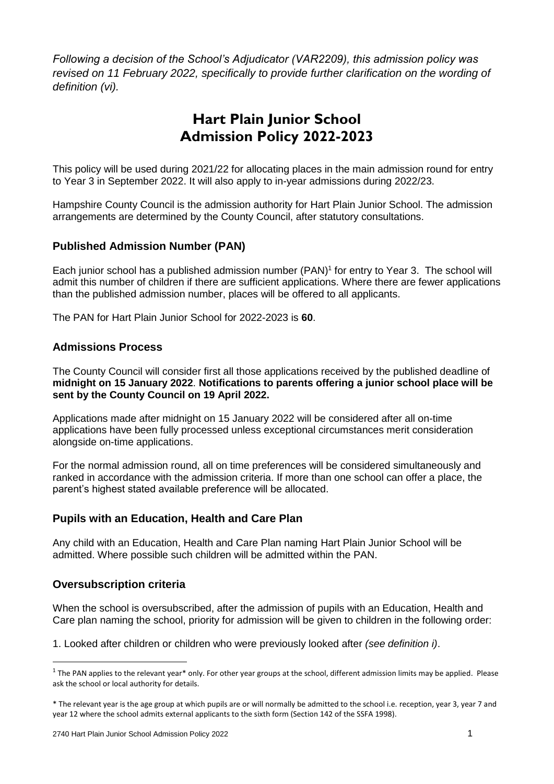*Following a decision of the School's Adjudicator (VAR2209), this admission policy was revised on 11 February 2022, specifically to provide further clarification on the wording of definition (vi).*

# **Hart Plain Junior School Admission Policy 2022-2023**

This policy will be used during 2021/22 for allocating places in the main admission round for entry to Year 3 in September 2022. It will also apply to in-year admissions during 2022/23.

Hampshire County Council is the admission authority for Hart Plain Junior School. The admission arrangements are determined by the County Council, after statutory consultations.

# **Published Admission Number (PAN)**

Each junior school has a published admission number (PAN) 1 for entry to Year 3. The school will admit this number of children if there are sufficient applications. Where there are fewer applications than the published admission number, places will be offered to all applicants.

The PAN for Hart Plain Junior School for 2022-2023 is **60**.

#### **Admissions Process**

The County Council will consider first all those applications received by the published deadline of **midnight on 15 January 2022**. **Notifications to parents offering a junior school place will be sent by the County Council on 19 April 2022.**

Applications made after midnight on 15 January 2022 will be considered after all on-time applications have been fully processed unless exceptional circumstances merit consideration alongside on-time applications.

For the normal admission round, all on time preferences will be considered simultaneously and ranked in accordance with the admission criteria. If more than one school can offer a place, the parent's highest stated available preference will be allocated.

#### **Pupils with an Education, Health and Care Plan**

Any child with an Education, Health and Care Plan naming Hart Plain Junior School will be admitted. Where possible such children will be admitted within the PAN.

#### **Oversubscription criteria**

**.** 

When the school is oversubscribed, after the admission of pupils with an Education, Health and Care plan naming the school, priority for admission will be given to children in the following order:

1. Looked after children or children who were previously looked after *(see definition i)*.

 $1$  The PAN applies to the relevant year\* only. For other year groups at the school, different admission limits may be applied. Please ask the school or local authority for details.

<sup>\*</sup> The relevant year is the age group at which pupils are or will normally be admitted to the school i.e. reception, year 3, year 7 and year 12 where the school admits external applicants to the sixth form (Section 142 of the SSFA 1998).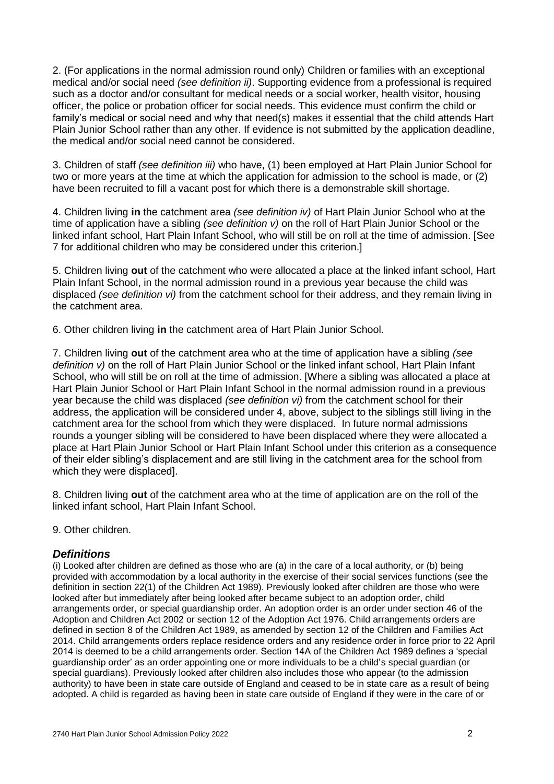2. (For applications in the normal admission round only) Children or families with an exceptional medical and/or social need *(see definition ii)*. Supporting evidence from a professional is required such as a doctor and/or consultant for medical needs or a social worker, health visitor, housing officer, the police or probation officer for social needs. This evidence must confirm the child or family's medical or social need and why that need(s) makes it essential that the child attends Hart Plain Junior School rather than any other. If evidence is not submitted by the application deadline, the medical and/or social need cannot be considered.

3. Children of staff *(see definition iii)* who have, (1) been employed at Hart Plain Junior School for two or more years at the time at which the application for admission to the school is made, or (2) have been recruited to fill a vacant post for which there is a demonstrable skill shortage.

4. Children living **in** the catchment area *(see definition iv)* of Hart Plain Junior School who at the time of application have a sibling *(see definition v)* on the roll of Hart Plain Junior School or the linked infant school, Hart Plain Infant School, who will still be on roll at the time of admission. [See 7 for additional children who may be considered under this criterion.]

5. Children living **out** of the catchment who were allocated a place at the linked infant school, Hart Plain Infant School, in the normal admission round in a previous year because the child was displaced *(see definition vi)* from the catchment school for their address, and they remain living in the catchment area.

6. Other children living **in** the catchment area of Hart Plain Junior School.

7. Children living **out** of the catchment area who at the time of application have a sibling *(see definition v)* on the roll of Hart Plain Junior School or the linked infant school, Hart Plain Infant School, who will still be on roll at the time of admission. [Where a sibling was allocated a place at Hart Plain Junior School or Hart Plain Infant School in the normal admission round in a previous year because the child was displaced *(see definition vi)* from the catchment school for their address, the application will be considered under 4, above, subject to the siblings still living in the catchment area for the school from which they were displaced. In future normal admissions rounds a younger sibling will be considered to have been displaced where they were allocated a place at Hart Plain Junior School or Hart Plain Infant School under this criterion as a consequence of their elder sibling's displacement and are still living in the catchment area for the school from which they were displaced].

8. Children living **out** of the catchment area who at the time of application are on the roll of the linked infant school, Hart Plain Infant School.

9. Other children.

#### *Definitions*

(i) Looked after children are defined as those who are (a) in the care of a local authority, or (b) being provided with accommodation by a local authority in the exercise of their social services functions (see the definition in section 22(1) of the Children Act 1989). Previously looked after children are those who were looked after but immediately after being looked after became subject to an adoption order, child arrangements order, or special guardianship order. An adoption order is an order under section 46 of the Adoption and Children Act 2002 or section 12 of the Adoption Act 1976. Child arrangements orders are defined in section 8 of the Children Act 1989, as amended by section 12 of the Children and Families Act 2014. Child arrangements orders replace residence orders and any residence order in force prior to 22 April 2014 is deemed to be a child arrangements order. Section 14A of the Children Act 1989 defines a 'special guardianship order' as an order appointing one or more individuals to be a child's special guardian (or special guardians). Previously looked after children also includes those who appear (to the admission authority) to have been in state care outside of England and ceased to be in state care as a result of being adopted. A child is regarded as having been in state care outside of England if they were in the care of or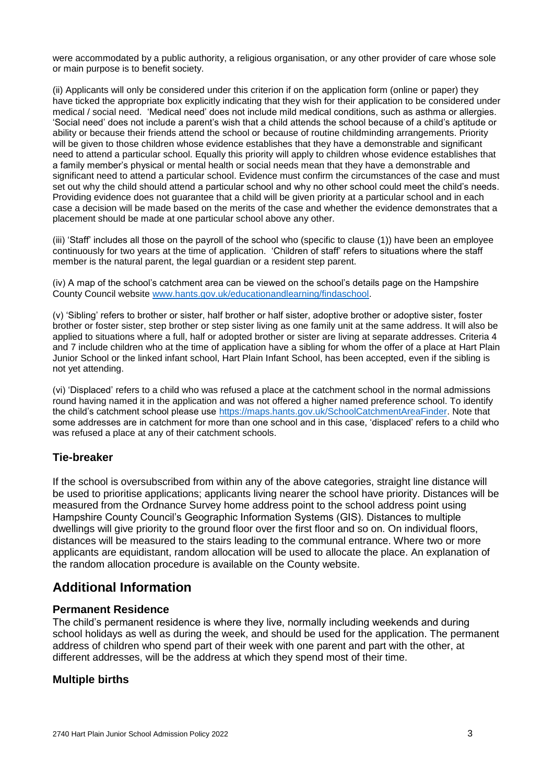were accommodated by a public authority, a religious organisation, or any other provider of care whose sole or main purpose is to benefit society.

(ii) Applicants will only be considered under this criterion if on the application form (online or paper) they have ticked the appropriate box explicitly indicating that they wish for their application to be considered under medical / social need. 'Medical need' does not include mild medical conditions, such as asthma or allergies. 'Social need' does not include a parent's wish that a child attends the school because of a child's aptitude or ability or because their friends attend the school or because of routine childminding arrangements. Priority will be given to those children whose evidence establishes that they have a demonstrable and significant need to attend a particular school. Equally this priority will apply to children whose evidence establishes that a family member's physical or mental health or social needs mean that they have a demonstrable and significant need to attend a particular school. Evidence must confirm the circumstances of the case and must set out why the child should attend a particular school and why no other school could meet the child's needs. Providing evidence does not guarantee that a child will be given priority at a particular school and in each case a decision will be made based on the merits of the case and whether the evidence demonstrates that a placement should be made at one particular school above any other.

(iii) 'Staff' includes all those on the payroll of the school who (specific to clause (1)) have been an employee continuously for two years at the time of application. 'Children of staff' refers to situations where the staff member is the natural parent, the legal guardian or a resident step parent.

(iv) A map of the school's catchment area can be viewed on the school's details page on the Hampshire County Council website [www.hants.gov.uk/educationandlearning/findaschool.](http://www.hants.gov.uk/educationandlearning/findaschool)

(v) 'Sibling' refers to brother or sister, half brother or half sister, adoptive brother or adoptive sister, foster brother or foster sister, step brother or step sister living as one family unit at the same address. It will also be applied to situations where a full, half or adopted brother or sister are living at separate addresses. Criteria 4 and 7 include children who at the time of application have a sibling for whom the offer of a place at Hart Plain Junior School or the linked infant school, Hart Plain Infant School, has been accepted, even if the sibling is not yet attending.

(vi) 'Displaced' refers to a child who was refused a place at the catchment school in the normal admissions round having named it in the application and was not offered a higher named preference school. To identify the child's catchment school please use [https://maps.hants.gov.uk/SchoolCatchmentAreaFinder.](https://maps.hants.gov.uk/SchoolCatchmentAreaFinder/) Note that some addresses are in catchment for more than one school and in this case, 'displaced' refers to a child who was refused a place at any of their catchment schools.

# **Tie-breaker**

If the school is oversubscribed from within any of the above categories, straight line distance will be used to prioritise applications; applicants living nearer the school have priority. Distances will be measured from the Ordnance Survey home address point to the school address point using Hampshire County Council's Geographic Information Systems (GIS). Distances to multiple dwellings will give priority to the ground floor over the first floor and so on. On individual floors, distances will be measured to the stairs leading to the communal entrance. Where two or more applicants are equidistant, random allocation will be used to allocate the place. An explanation of the random allocation procedure is available on the County website.

# **Additional Information**

#### **Permanent Residence**

The child's permanent residence is where they live, normally including weekends and during school holidays as well as during the week, and should be used for the application. The permanent address of children who spend part of their week with one parent and part with the other, at different addresses, will be the address at which they spend most of their time.

# **Multiple births**